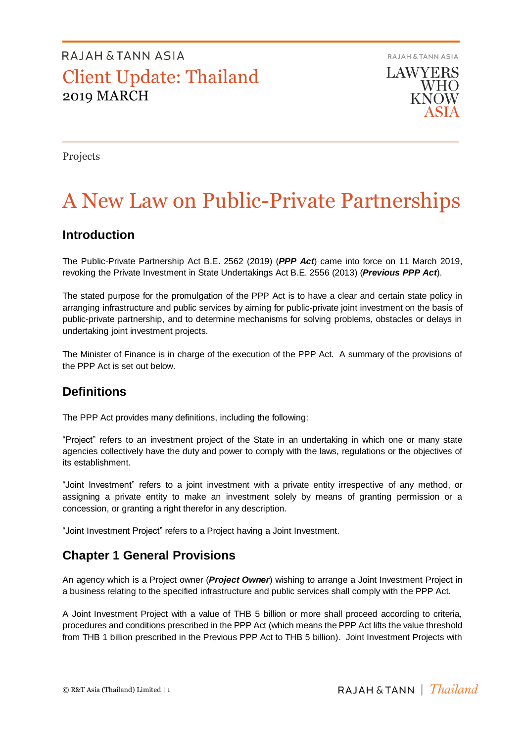RAJAH & TANN ASIA **LAWYERS WHO KNOW** 

Projects

# A New Law on Public-Private Partnerships

### **Introduction**

The Public-Private Partnership Act B.E. 2562 (2019) (*PPP Act*) came into force on 11 March 2019, revoking the Private Investment in State Undertakings Act B.E. 2556 (2013) (*Previous PPP Act*).

The stated purpose for the promulgation of the PPP Act is to have a clear and certain state policy in arranging infrastructure and public services by aiming for public-private joint investment on the basis of public-private partnership, and to determine mechanisms for solving problems, obstacles or delays in undertaking joint investment projects.

The Minister of Finance is in charge of the execution of the PPP Act. A summary of the provisions of the PPP Act is set out below.

### **Definitions**

The PPP Act provides many definitions, including the following:

"Project" refers to an investment project of the State in an undertaking in which one or many state agencies collectively have the duty and power to comply with the laws, regulations or the objectives of its establishment.

"Joint Investment" refers to a joint investment with a private entity irrespective of any method, or assigning a private entity to make an investment solely by means of granting permission or a concession, or granting a right therefor in any description.

"Joint Investment Project" refers to a Project having a Joint Investment.

### **Chapter 1 General Provisions**

An agency which is a Project owner (*Project Owner*) wishing to arrange a Joint Investment Project in a business relating to the specified infrastructure and public services shall comply with the PPP Act.

A Joint Investment Project with a value of THB 5 billion or more shall proceed according to criteria, procedures and conditions prescribed in the PPP Act (which means the PPP Act lifts the value threshold from THB 1 billion prescribed in the Previous PPP Act to THB 5 billion). Joint Investment Projects with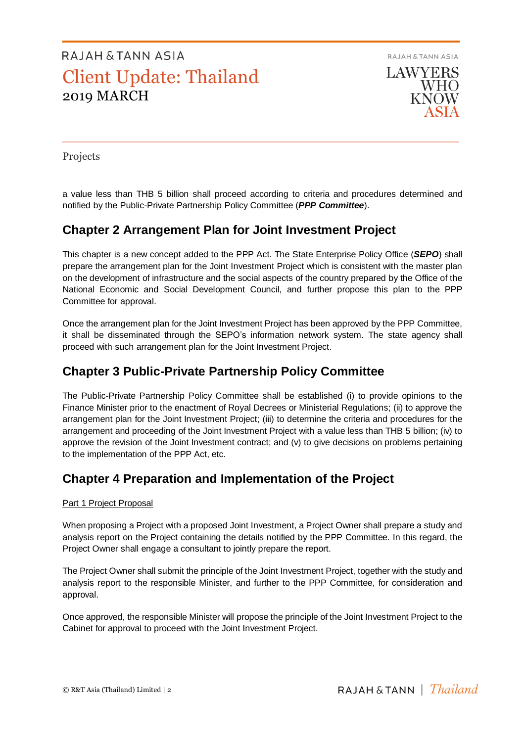RAJAH & TANN ASIA **LAWYERS WHO KNOW** 

Projects

a value less than THB 5 billion shall proceed according to criteria and procedures determined and notified by the Public-Private Partnership Policy Committee (*PPP Committee*).

### **Chapter 2 Arrangement Plan for Joint Investment Project**

This chapter is a new concept added to the PPP Act. The State Enterprise Policy Office (*SEPO*) shall prepare the arrangement plan for the Joint Investment Project which is consistent with the master plan on the development of infrastructure and the social aspects of the country prepared by the Office of the National Economic and Social Development Council, and further propose this plan to the PPP Committee for approval.

Once the arrangement plan for the Joint Investment Project has been approved by the PPP Committee, it shall be disseminated through the SEPO's information network system. The state agency shall proceed with such arrangement plan for the Joint Investment Project.

### **Chapter 3 Public-Private Partnership Policy Committee**

The Public-Private Partnership Policy Committee shall be established (i) to provide opinions to the Finance Minister prior to the enactment of Royal Decrees or Ministerial Regulations; (ii) to approve the arrangement plan for the Joint Investment Project; (iii) to determine the criteria and procedures for the arrangement and proceeding of the Joint Investment Project with a value less than THB 5 billion; (iv) to approve the revision of the Joint Investment contract; and (v) to give decisions on problems pertaining to the implementation of the PPP Act, etc.

### **Chapter 4 Preparation and Implementation of the Project**

### Part 1 Project Proposal

When proposing a Project with a proposed Joint Investment, a Project Owner shall prepare a study and analysis report on the Project containing the details notified by the PPP Committee. In this regard, the Project Owner shall engage a consultant to jointly prepare the report.

The Project Owner shall submit the principle of the Joint Investment Project, together with the study and analysis report to the responsible Minister, and further to the PPP Committee, for consideration and approval.

Once approved, the responsible Minister will propose the principle of the Joint Investment Project to the Cabinet for approval to proceed with the Joint Investment Project.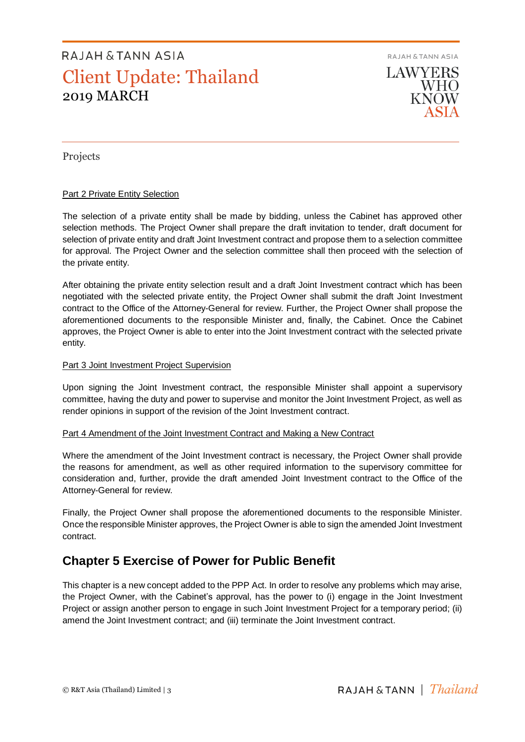RAJAH & TANN ASIA



Projects

### **Part 2 Private Entity Selection**

The selection of a private entity shall be made by bidding, unless the Cabinet has approved other selection methods. The Project Owner shall prepare the draft invitation to tender, draft document for selection of private entity and draft Joint Investment contract and propose them to a selection committee for approval. The Project Owner and the selection committee shall then proceed with the selection of the private entity.

After obtaining the private entity selection result and a draft Joint Investment contract which has been negotiated with the selected private entity, the Project Owner shall submit the draft Joint Investment contract to the Office of the Attorney-General for review. Further, the Project Owner shall propose the aforementioned documents to the responsible Minister and, finally, the Cabinet. Once the Cabinet approves, the Project Owner is able to enter into the Joint Investment contract with the selected private entity.

### Part 3 Joint Investment Project Supervision

Upon signing the Joint Investment contract, the responsible Minister shall appoint a supervisory committee, having the duty and power to supervise and monitor the Joint Investment Project, as well as render opinions in support of the revision of the Joint Investment contract.

### Part 4 Amendment of the Joint Investment Contract and Making a New Contract

Where the amendment of the Joint Investment contract is necessary, the Project Owner shall provide the reasons for amendment, as well as other required information to the supervisory committee for consideration and, further, provide the draft amended Joint Investment contract to the Office of the Attorney-General for review.

Finally, the Project Owner shall propose the aforementioned documents to the responsible Minister. Once the responsible Minister approves, the Project Owner is able to sign the amended Joint Investment contract.

### **Chapter 5 Exercise of Power for Public Benefit**

This chapter is a new concept added to the PPP Act. In order to resolve any problems which may arise, the Project Owner, with the Cabinet's approval, has the power to (i) engage in the Joint Investment Project or assign another person to engage in such Joint Investment Project for a temporary period; (ii) amend the Joint Investment contract; and (iii) terminate the Joint Investment contract.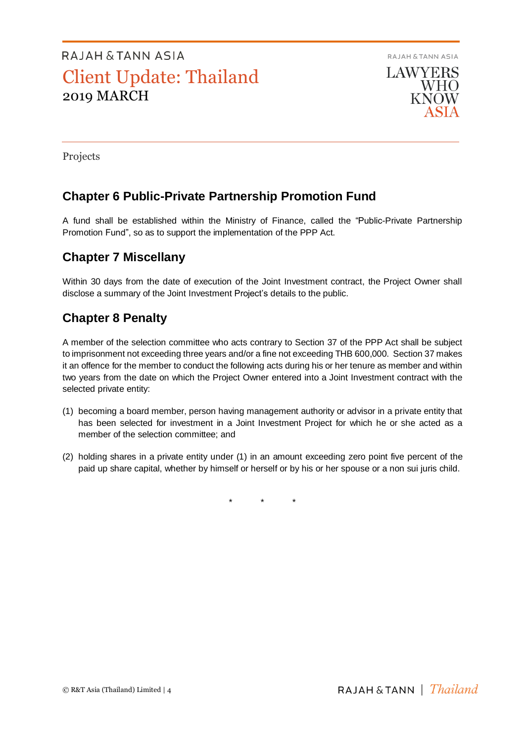RAJAH & TANN ASIA **LAWYERS WHO KNOW** 

Projects

## **Chapter 6 Public-Private Partnership Promotion Fund**

A fund shall be established within the Ministry of Finance, called the "Public-Private Partnership Promotion Fund", so as to support the implementation of the PPP Act.

## **Chapter 7 Miscellany**

Within 30 days from the date of execution of the Joint Investment contract, the Project Owner shall disclose a summary of the Joint Investment Project's details to the public.

## **Chapter 8 Penalty**

A member of the selection committee who acts contrary to Section 37 of the PPP Act shall be subject to imprisonment not exceeding three years and/or a fine not exceeding THB 600,000. Section 37 makes it an offence for the member to conduct the following acts during his or her tenure as member and within two years from the date on which the Project Owner entered into a Joint Investment contract with the selected private entity:

- (1) becoming a board member, person having management authority or advisor in a private entity that has been selected for investment in a Joint Investment Project for which he or she acted as a member of the selection committee; and
- (2) holding shares in a private entity under (1) in an amount exceeding zero point five percent of the paid up share capital, whether by himself or herself or by his or her spouse or a non sui juris child.

\* \* \*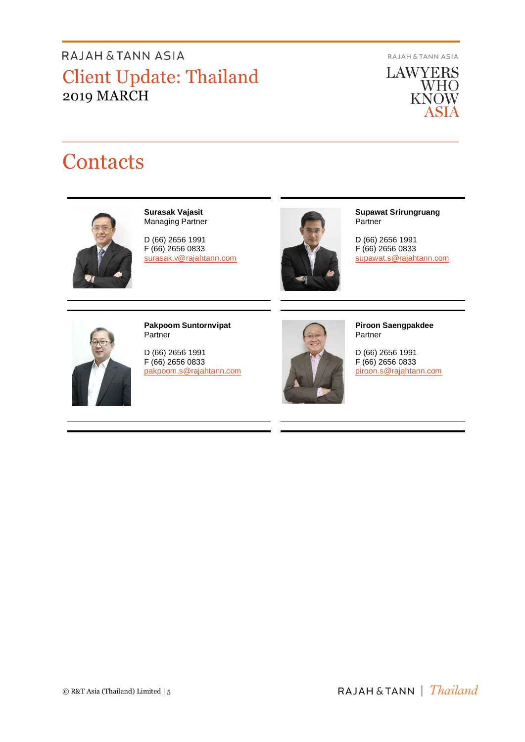**RAJAH & TANN ASIA** 

**LAWYERS** WHO<br>KNOW ASIA

# **Contacts**



**Surasak Vajasit** Managing Partner

D (66) 2656 1991 F (66) 2656 0833 surasak.v@rajahtann.com



**Supawat Srirungruang** Partner

D (66) 2656 1991 F (66) 2656 0833 [supawat.s@rajahtann.com](mailto:supawat.s@rajahtann.com)



**Pakpoom Suntornvipat** Partner

D (66) 2656 1991 F (66) 2656 0833 pakpoom.s@rajahtann.com



**Piroon Saengpakdee** Partner

D (66) 2656 1991 F (66) 2656 0833 piroon.s@rajahtann.com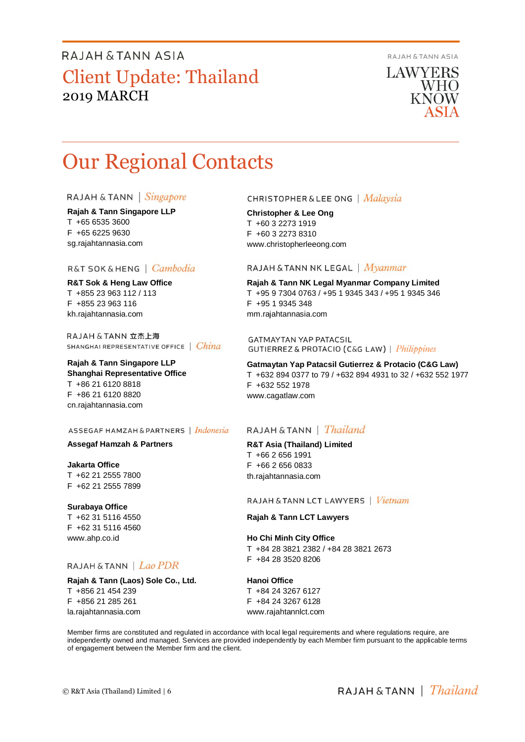RAJAH & TANN ASIA

**LAWYERS WHO** KNOW

# Our Regional Contacts

#### RAJAH & TANN | Singapore

**Rajah & Tann Singapore LLP** T +65 6535 3600 F +65 6225 9630 sg.rajahtannasia.com

### R&T SOK&HENG | Cambodia

**R&T Sok & Heng Law Office** T +855 23 963 112 / 113 F +855 23 963 116 kh.rajahtannasia.com

RAJAH & TANN 立杰上海 SHANGHAI REPRESENTATIVE OFFICE | China

#### **Rajah & Tann Singapore LLP Shanghai Representative Office** T +86 21 6120 8818 F +86 21 6120 8820 cn.rajahtannasia.com

#### ASSEGAF HAMZAH & PARTNERS | Indonesia

#### **Assegaf Hamzah & Partners**

**Jakarta Office** T +62 21 2555 7800 F +62 21 2555 7899

### **Surabaya Office**

T +62 31 5116 4550 F +62 31 5116 4560 www.ahp.co.id

### RAJAH & TANN | Lao PDR

**Rajah & Tann (Laos) Sole Co., Ltd.** T +856 21 454 239 F +856 21 285 261 la.rajahtannasia.com

### **CHRISTOPHER & LEE ONG** | Malaysia

**Christopher & Lee Ong** T +60 3 2273 1919 F +60 3 2273 8310 www.christopherleeong.com

#### RAJAH & TANN NK LEGAL | Myanmar

**Rajah & Tann NK Legal Myanmar Company Limited** T +95 9 7304 0763 / +95 1 9345 343 / +95 1 9345 346 F +95 1 9345 348 mm.rajahtannasia.com

**GATMAYTAN YAP PATACSIL GUTIERREZ & PROTACIO (C&G LAW)** | *Philippines* 

**Gatmaytan Yap Patacsil Gutierrez & Protacio (C&G Law)**  T +632 894 0377 to 79 / +632 894 4931 to 32 / +632 552 1977 F +632 552 1978 www.cagatlaw.com

### RAJAH & TANN | *Thailand*

**R&T Asia (Thailand) Limited** T +66 2 656 1991 F +66 2 656 0833 th.rajahtannasia.com

RAJAH & TANN LCT LAWYERS | Vietnam

#### **Rajah & Tann LCT Lawyers**

**Ho Chi Minh City Office** T +84 28 3821 2382 / +84 28 3821 2673 F +84 28 3520 8206

**Hanoi Office** T +84 24 3267 6127 F +84 24 3267 6128

www.rajahtannlct.com

Member firms are constituted and regulated in accordance with local legal requirements and where regulations require, are independently owned and managed. Services are provided independently by each Member firm pursuant to the applicable terms of engagement between the Member firm and the client.